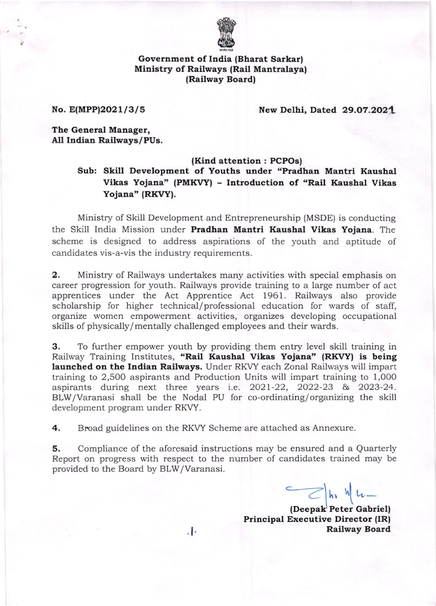

Government of India (Bharat Sarkar) Ministry of Railways (Rail Mantralaya) (Railway Board|

No. E(MPP)2021/3/5 New Delhi, Dated 29.07.2021

The General Manager, All Indian Railways/PUs.

### (Kind attention : PCPOs)

Sub: Skill Development of Youths under "Pradhan Mantri Kaushal Vikas Yojana" (PMKVY) - Introduction of "Rail Kaushal Vikas Yojana" (RKVY).

Ministry of Skill Development and Entrepreneurship (MSDE) is conducting the Skill India Mission under Pradhan Mantri Kaushal Vikas Yojana. The scheme is designed to address aspirations of the youth and aptitude of candidates vis-a-vis the industry requirements.

2. Ministry of Railways undertakes many activities with special emphasis on career progression for youth. Railways provide training to a large number of act apprentices under the Act Apprentice Act 1961. Railways also provide scholarship for higher technical/ professional education for wards of staff, organize women empowerment activities, organizes developing occupational skills of physically/mentally challenged employees and their wards.

3. To further empower youth by providing them entry level skill training in Railway Training Institutes, "Rail Kaushal Vikas Yojana" (RKVY) is being launched on the Indian Railways. Under RKVY each Zonal Railways will impart training to 2,500 aspirants and Production Units will impart training to 1,00O aspirants during next three years i.e. 2O2l-22, 2022-23 & 2023-24. BLW/Varanasi shall be the Nodal PU for co-ordinating/organizing the skill development program under RKW.

4. Broad guidelines on the RKVY Scheme are attached as Annexure.

**5.** Compliance of the aforesaid instructions may be ensured and a Quarterly Report on progress with respect to the number of candidates trained may be provided to the Board by BlW/Varanasi.

 $\frac{1}{\sqrt{2}}$   $\ln W$   $\frac{1}{\sqrt{2}}$ 

(Deepak Peter Gabriel) Principal Executive Director (IR) Railway Board